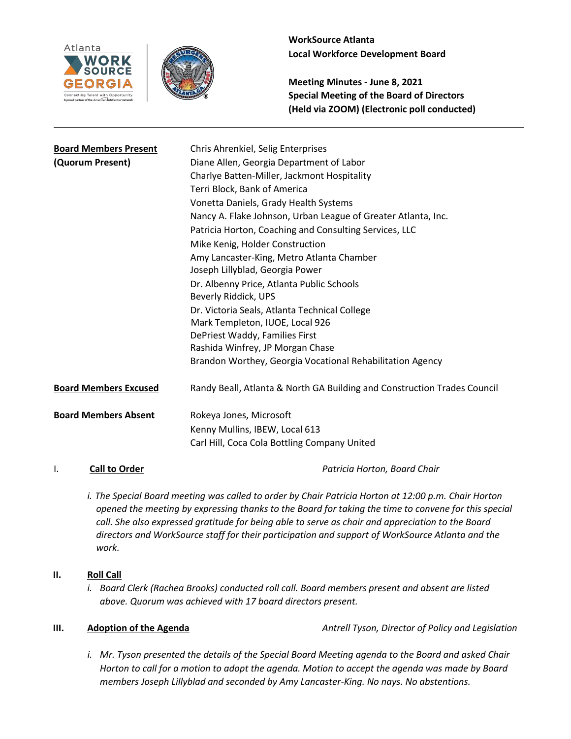



**Meeting Minutes - June 8, 2021 Special Meeting of the Board of Directors (Held via ZOOM) (Electronic poll conducted)**

| <b>Board Members Present</b> | Chris Ahrenkiel, Selig Enterprises                                       |
|------------------------------|--------------------------------------------------------------------------|
| (Quorum Present)             | Diane Allen, Georgia Department of Labor                                 |
|                              | Charlye Batten-Miller, Jackmont Hospitality                              |
|                              | Terri Block, Bank of America                                             |
|                              | Vonetta Daniels, Grady Health Systems                                    |
|                              | Nancy A. Flake Johnson, Urban League of Greater Atlanta, Inc.            |
|                              | Patricia Horton, Coaching and Consulting Services, LLC                   |
|                              | Mike Kenig, Holder Construction                                          |
|                              | Amy Lancaster-King, Metro Atlanta Chamber                                |
|                              | Joseph Lillyblad, Georgia Power                                          |
|                              | Dr. Albenny Price, Atlanta Public Schools                                |
|                              | Beverly Riddick, UPS                                                     |
|                              | Dr. Victoria Seals, Atlanta Technical College                            |
|                              | Mark Templeton, IUOE, Local 926                                          |
|                              | DePriest Waddy, Families First                                           |
|                              | Rashida Winfrey, JP Morgan Chase                                         |
|                              | Brandon Worthey, Georgia Vocational Rehabilitation Agency                |
| <b>Board Members Excused</b> | Randy Beall, Atlanta & North GA Building and Construction Trades Council |
| <b>Board Members Absent</b>  | Rokeya Jones, Microsoft                                                  |
|                              | Kenny Mullins, IBEW, Local 613                                           |
|                              | Carl Hill, Coca Cola Bottling Company United                             |
|                              |                                                                          |

I. **Call to Order** *Patricia Horton, Board Chair*

- *i. The Special Board meeting was called to order by Chair Patricia Horton at 12:00 p.m. Chair Horton opened the meeting by expressing thanks to the Board for taking the time to convene for this special call. She also expressed gratitude for being able to serve as chair and appreciation to the Board directors and WorkSource staff for their participation and support of WorkSource Atlanta and the work.*
- **II. Roll Call**
	- *i. Board Clerk (Rachea Brooks) conducted roll call. Board members present and absent are listed above. Quorum was achieved with 17 board directors present.*

**III. Adoption of the Agenda** *Antrell Tyson, Director of Policy and Legislation* 

*i. Mr. Tyson presented the details of the Special Board Meeting agenda to the Board and asked Chair Horton to call for a motion to adopt the agenda. Motion to accept the agenda was made by Board members Joseph Lillyblad and seconded by Amy Lancaster-King. No nays. No abstentions.*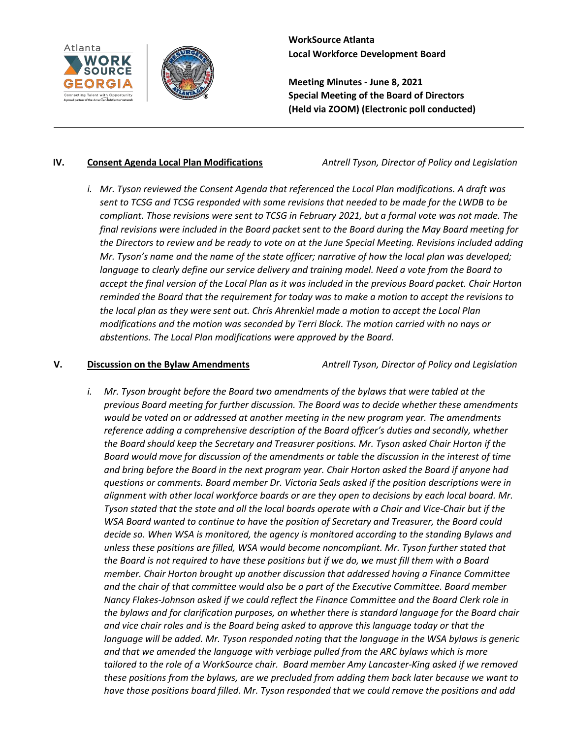



**Meeting Minutes - June 8, 2021 Special Meeting of the Board of Directors (Held via ZOOM) (Electronic poll conducted)**

### **IV. Consent Agenda Local Plan Modifications** *Antrell Tyson, Director of Policy and Legislation*

*i. Mr. Tyson reviewed the Consent Agenda that referenced the Local Plan modifications. A draft was sent to TCSG and TCSG responded with some revisions that needed to be made for the LWDB to be compliant. Those revisions were sent to TCSG in February 2021, but a formal vote was not made. The final revisions were included in the Board packet sent to the Board during the May Board meeting for the Directors to review and be ready to vote on at the June Special Meeting. Revisions included adding Mr. Tyson's name and the name of the state officer; narrative of how the local plan was developed; language to clearly define our service delivery and training model. Need a vote from the Board to accept the final version of the Local Plan as it was included in the previous Board packet. Chair Horton reminded the Board that the requirement for today was to make a motion to accept the revisions to the local plan as they were sent out. Chris Ahrenkiel made a motion to accept the Local Plan modifications and the motion was seconded by Terri Block. The motion carried with no nays or abstentions. The Local Plan modifications were approved by the Board.*

## **V. Discussion on the Bylaw Amendments** *Antrell Tyson, Director of Policy and Legislation*

*i. Mr. Tyson brought before the Board two amendments of the bylaws that were tabled at the previous Board meeting for further discussion. The Board was to decide whether these amendments would be voted on or addressed at another meeting in the new program year. The amendments reference adding a comprehensive description of the Board officer's duties and secondly, whether the Board should keep the Secretary and Treasurer positions. Mr. Tyson asked Chair Horton if the Board would move for discussion of the amendments or table the discussion in the interest of time and bring before the Board in the next program year. Chair Horton asked the Board if anyone had questions or comments. Board member Dr. Victoria Seals asked if the position descriptions were in alignment with other local workforce boards or are they open to decisions by each local board. Mr. Tyson stated that the state and all the local boards operate with a Chair and Vice-Chair but if the WSA Board wanted to continue to have the position of Secretary and Treasurer, the Board could decide so. When WSA is monitored, the agency is monitored according to the standing Bylaws and unless these positions are filled, WSA would become noncompliant. Mr. Tyson further stated that the Board is not required to have these positions but if we do, we must fill them with a Board member. Chair Horton brought up another discussion that addressed having a Finance Committee and the chair of that committee would also be a part of the Executive Committee. Board member Nancy Flakes-Johnson asked if we could reflect the Finance Committee and the Board Clerk role in the bylaws and for clarification purposes, on whether there is standard language for the Board chair and vice chair roles and is the Board being asked to approve this language today or that the language will be added. Mr. Tyson responded noting that the language in the WSA bylaws is generic and that we amended the language with verbiage pulled from the ARC bylaws which is more tailored to the role of a WorkSource chair. Board member Amy Lancaster-King asked if we removed these positions from the bylaws, are we precluded from adding them back later because we want to have those positions board filled. Mr. Tyson responded that we could remove the positions and add*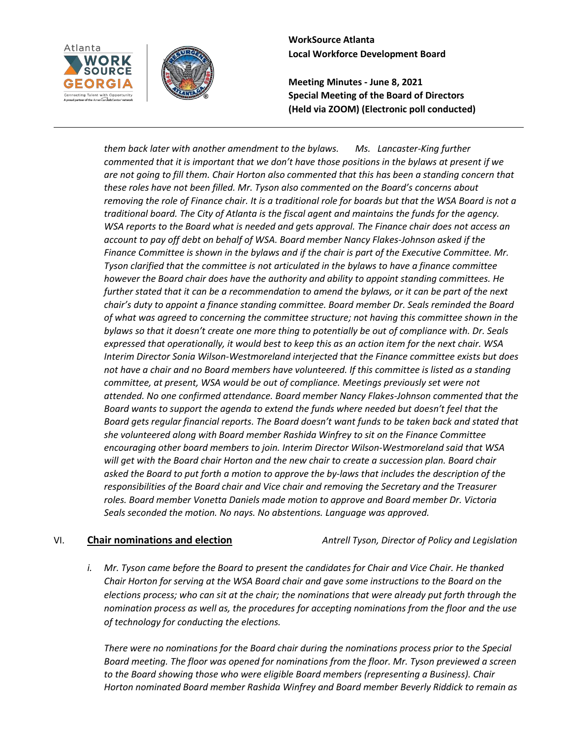



**Meeting Minutes - June 8, 2021 Special Meeting of the Board of Directors (Held via ZOOM) (Electronic poll conducted)**

*them back later with another amendment to the bylaws. Ms. Lancaster-King further commented that it is important that we don't have those positions in the bylaws at present if we are not going to fill them. Chair Horton also commented that this has been a standing concern that these roles have not been filled. Mr. Tyson also commented on the Board's concerns about removing the role of Finance chair. It is a traditional role for boards but that the WSA Board is not a traditional board. The City of Atlanta is the fiscal agent and maintains the funds for the agency. WSA reports to the Board what is needed and gets approval. The Finance chair does not access an account to pay off debt on behalf of WSA. Board member Nancy Flakes-Johnson asked if the Finance Committee is shown in the bylaws and if the chair is part of the Executive Committee. Mr. Tyson clarified that the committee is not articulated in the bylaws to have a finance committee however the Board chair does have the authority and ability to appoint standing committees. He further stated that it can be a recommendation to amend the bylaws, or it can be part of the next chair's duty to appoint a finance standing committee. Board member Dr. Seals reminded the Board of what was agreed to concerning the committee structure; not having this committee shown in the bylaws so that it doesn't create one more thing to potentially be out of compliance with. Dr. Seals expressed that operationally, it would best to keep this as an action item for the next chair. WSA Interim Director Sonia Wilson-Westmoreland interjected that the Finance committee exists but does not have a chair and no Board members have volunteered. If this committee is listed as a standing committee, at present, WSA would be out of compliance. Meetings previously set were not attended. No one confirmed attendance. Board member Nancy Flakes-Johnson commented that the Board wants to support the agenda to extend the funds where needed but doesn't feel that the Board gets regular financial reports. The Board doesn't want funds to be taken back and stated that she volunteered along with Board member Rashida Winfrey to sit on the Finance Committee encouraging other board members to join. Interim Director Wilson-Westmoreland said that WSA will get with the Board chair Horton and the new chair to create a succession plan. Board chair asked the Board to put forth a motion to approve the by-laws that includes the description of the responsibilities of the Board chair and Vice chair and removing the Secretary and the Treasurer roles. Board member Vonetta Daniels made motion to approve and Board member Dr. Victoria Seals seconded the motion. No nays. No abstentions. Language was approved.*

VI. **Chair nominations and election** *Antrell Tyson, Director of Policy and Legislation*

*i. Mr. Tyson came before the Board to present the candidates for Chair and Vice Chair. He thanked Chair Horton for serving at the WSA Board chair and gave some instructions to the Board on the elections process; who can sit at the chair; the nominations that were already put forth through the nomination process as well as, the procedures for accepting nominations from the floor and the use of technology for conducting the elections.*

*There were no nominations for the Board chair during the nominations process prior to the Special Board meeting. The floor was opened for nominations from the floor. Mr. Tyson previewed a screen to the Board showing those who were eligible Board members (representing a Business). Chair Horton nominated Board member Rashida Winfrey and Board member Beverly Riddick to remain as*